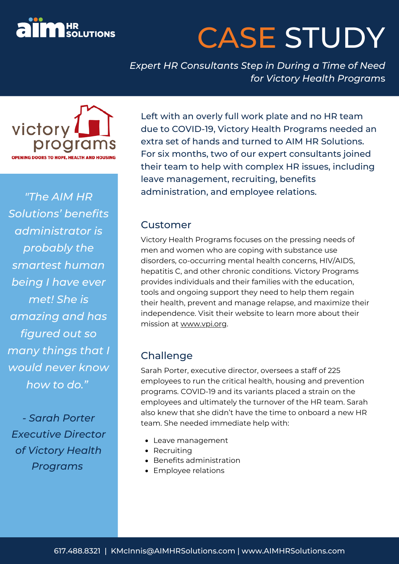

# CASE STUDY

*Expert HR Consultants Step in During a Time of Need for Victory Health Program*s



*"The AIM HR Solutions' benefits administrator is probably the smartest human being I have ever met! She is amazing and has figured out so many things that I would never know how to do."*

*- Sarah Porter Executive Director of Victory Health Programs*

Left with an overly full work plate and no HR team due to COVID-19, Victory Health Programs needed an extra set of hands and turned to AIM HR Solutions. For six months, two of our expert consultants joined their team to help with complex HR issues, including leave management, recruiting, benefits administration, and employee relations.

#### Customer

Victory Health Programs focuses on the pressing needs of men and women who are coping with substance use disorders, co-occurring mental health concerns, HIV/AIDS, hepatitis C, and other chronic conditions. Victory Programs provides individuals and their families with the education, tools and ongoing support they need to help them regain their health, prevent and manage relapse, and maximize their independence. Visit their website to learn more about their mission at [www.vpi.org.](https://www.vpi.org/)

### Challenge

Sarah Porter, executive director, oversees a staff of 225 employees to run the critical health, housing and prevention programs. COVID-19 and its variants placed a strain on the employees and ultimately the turnover of the HR team. Sarah also knew that she didn't have the time to onboard a new HR team. She needed immediate help with:

- Leave management
- Recruiting
- Benefits administration
- Employee relations